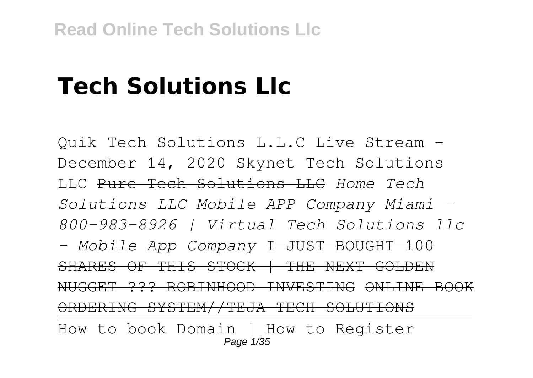# **Tech Solutions Llc**

Quik Tech Solutions L.L.C Live Stream - December 14, 2020 Skynet Tech Solutions LLC Pure Tech Solutions LLC *Home Tech Solutions LLC Mobile APP Company Miami - 800-983-8926 | Virtual Tech Solutions llc - Mobile App Company* I JUST BOUGHT 100 SHARES OF THIS STOCK | THE NEXT GOLDEN NUGGET ??? ROBINHOOD INVESTING ONLINE BOOK ORDERING SYSTEM//TEJA TECH SOLUTIONS How to book Domain | How to Register Page 1/35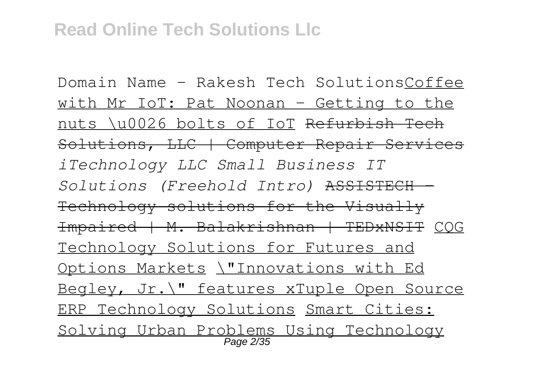Domain Name - Rakesh Tech SolutionsCoffee with Mr IoT: Pat Noonan – Getting to the nuts \u0026 bolts of IoT Refurbish Tech Solutions, LLC | Computer Repair Services *iTechnology LLC Small Business IT Solutions (Freehold Intro)* ASSISTECH - Technology solutions for the Visually Impaired | M. Balakrishnan | TEDxNSIT CQG Technology Solutions for Futures and Options Markets \"Innovations with Ed Begley, Jr.\" features xTuple Open Source ERP Technology Solutions Smart Cities: Solving Urban Problems Using Technology Page 2/35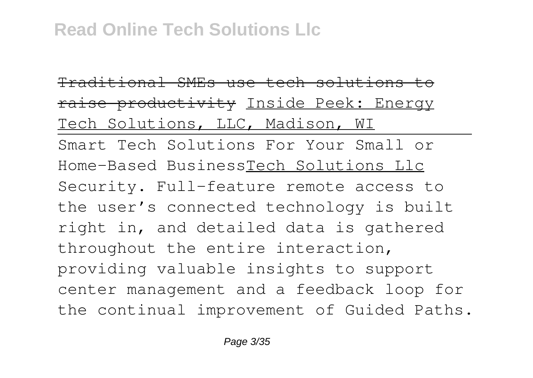Traditional SMEs use tech solutions to raise productivity Inside Peek: Energy Tech Solutions, LLC, Madison, WI Smart Tech Solutions For Your Small or Home-Based BusinessTech Solutions Llc Security. Full-feature remote access to the user's connected technology is built right in, and detailed data is gathered throughout the entire interaction, providing valuable insights to support center management and a feedback loop for the continual improvement of Guided Paths.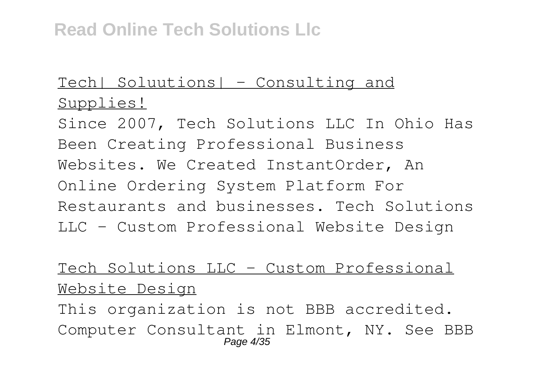## Tech| Soluutions| – Consulting and Supplies!

Since 2007, Tech Solutions LLC In Ohio Has Been Creating Professional Business Websites. We Created InstantOrder, An Online Ordering System Platform For Restaurants and businesses. Tech Solutions LLC - Custom Professional Website Design

## Tech Solutions LLC - Custom Professional Website Design

This organization is not BBB accredited. Computer Consultant in Elmont, NY. See BBB Page 4/35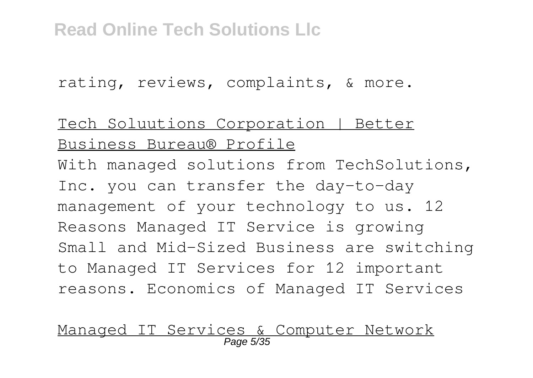rating, reviews, complaints, & more.

Tech Soluutions Corporation | Better Business Bureau® Profile With managed solutions from TechSolutions, Inc. you can transfer the day-to-day management of your technology to us. 12 Reasons Managed IT Service is growing Small and Mid-Sized Business are switching to Managed IT Services for 12 important reasons. Economics of Managed IT Services

# Managed IT Services & Computer Network Page 5/35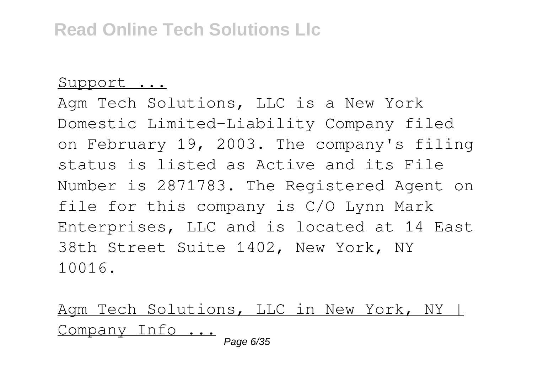#### Support ...

Agm Tech Solutions, LLC is a New York Domestic Limited-Liability Company filed on February 19, 2003. The company's filing status is listed as Active and its File Number is 2871783. The Registered Agent on file for this company is C/O Lynn Mark Enterprises, LLC and is located at 14 East 38th Street Suite 1402, New York, NY 10016.

Agm Tech Solutions, LLC in New York, NY | Company Info ...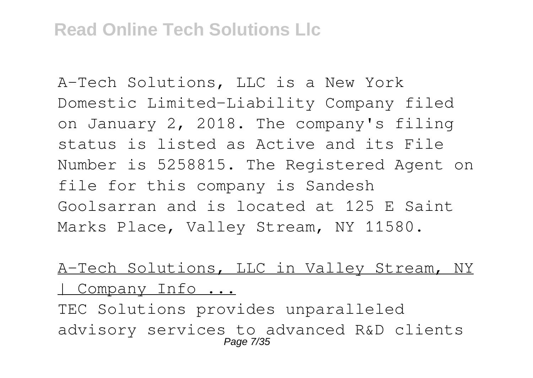A-Tech Solutions, LLC is a New York Domestic Limited-Liability Company filed on January 2, 2018. The company's filing status is listed as Active and its File Number is 5258815. The Registered Agent on file for this company is Sandesh Goolsarran and is located at 125 E Saint Marks Place, Valley Stream, NY 11580.

A-Tech Solutions, LLC in Valley Stream, NY | Company Info ...

TEC Solutions provides unparalleled advisory services to advanced R&D clients Page 7/35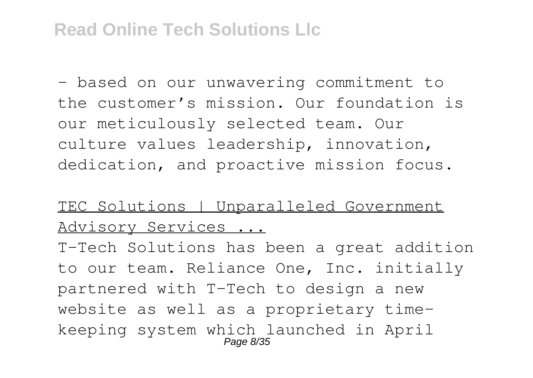– based on our unwavering commitment to the customer's mission. Our foundation is our meticulously selected team. Our culture values leadership, innovation, dedication, and proactive mission focus.

#### TEC Solutions | Unparalleled Government Advisory Services ...

T-Tech Solutions has been a great addition to our team. Reliance One, Inc. initially partnered with T-Tech to design a new website as well as a proprietary timekeeping system which launched in April Page 8/35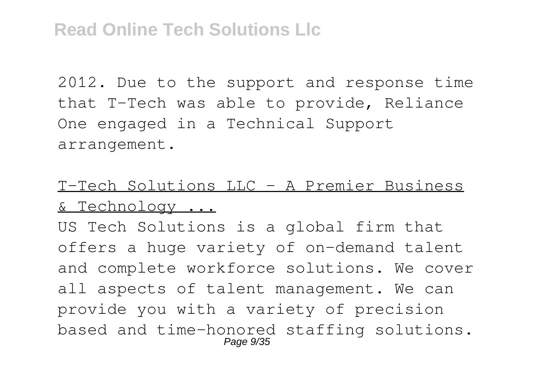2012. Due to the support and response time that T-Tech was able to provide, Reliance One engaged in a Technical Support arrangement.

# T-Tech Solutions LLC – A Premier Business & Technology ...

US Tech Solutions is a global firm that offers a huge variety of on-demand talent and complete workforce solutions. We cover all aspects of talent management. We can provide you with a variety of precision based and time-honored staffing solutions. Page 9/35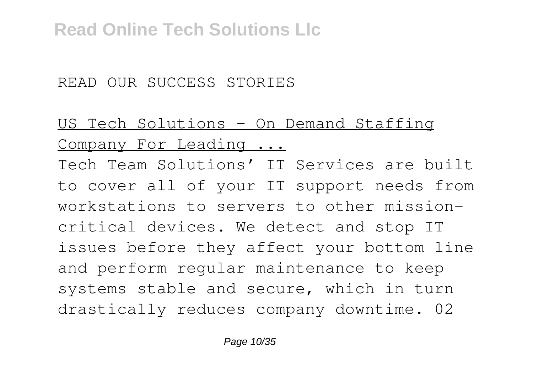#### READ OUR SUCCESS STORIES

# US Tech Solutions - On Demand Staffing Company For Leading ...

Tech Team Solutions' IT Services are built to cover all of your IT support needs from workstations to servers to other missioncritical devices. We detect and stop IT issues before they affect your bottom line and perform regular maintenance to keep systems stable and secure, which in turn drastically reduces company downtime. 02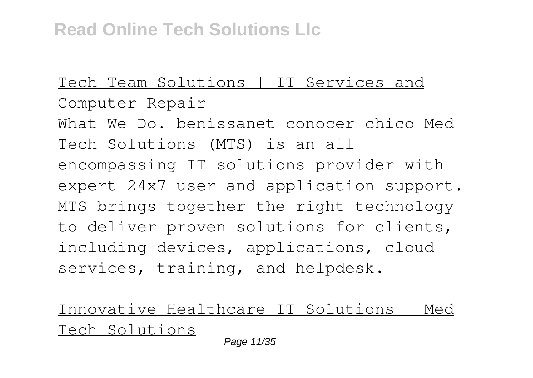# Tech Team Solutions | IT Services and Computer Repair

What We Do. benissanet conocer chico Med Tech Solutions (MTS) is an allencompassing IT solutions provider with expert 24x7 user and application support. MTS brings together the right technology to deliver proven solutions for clients, including devices, applications, cloud services, training, and helpdesk.

Innovative Healthcare IT Solutions - Med Tech Solutions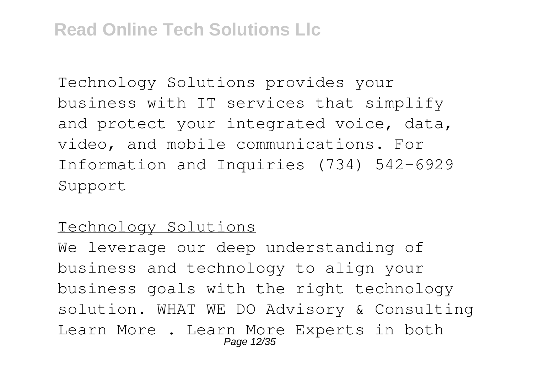Technology Solutions provides your business with IT services that simplify and protect your integrated voice, data, video, and mobile communications. For Information and Inquiries (734) 542-6929 Support

#### Technology Solutions

We leverage our deep understanding of business and technology to align your business goals with the right technology solution. WHAT WE DO Advisory & Consulting Learn More . Learn More Experts in both Page 12/35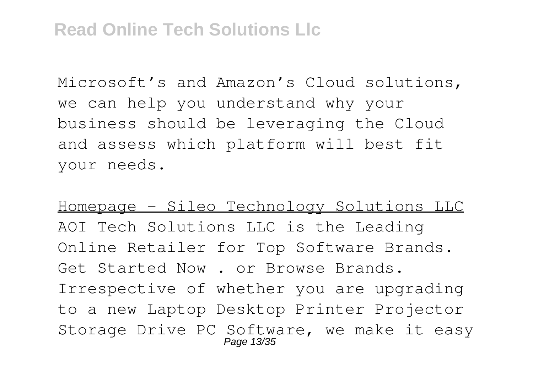Microsoft's and Amazon's Cloud solutions, we can help you understand why your business should be leveraging the Cloud and assess which platform will best fit your needs.

Homepage - Sileo Technology Solutions LLC AOI Tech Solutions LLC is the Leading Online Retailer for Top Software Brands. Get Started Now . or Browse Brands. Irrespective of whether you are upgrading to a new Laptop Desktop Printer Projector Storage Drive PC Software, we make it easy Page 13/35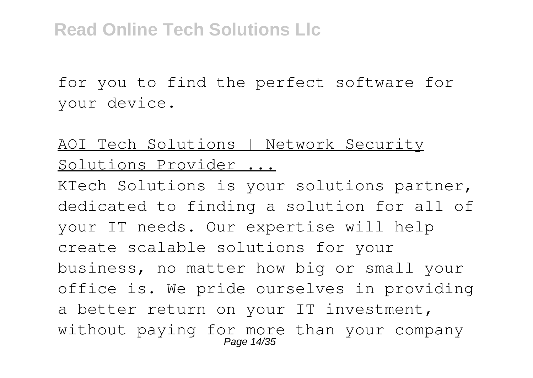for you to find the perfect software for your device.

## AOI Tech Solutions | Network Security Solutions Provider ...

KTech Solutions is your solutions partner, dedicated to finding a solution for all of your IT needs. Our expertise will help create scalable solutions for your business, no matter how big or small your office is. We pride ourselves in providing a better return on your IT investment, without paying for more than your company Page 14/35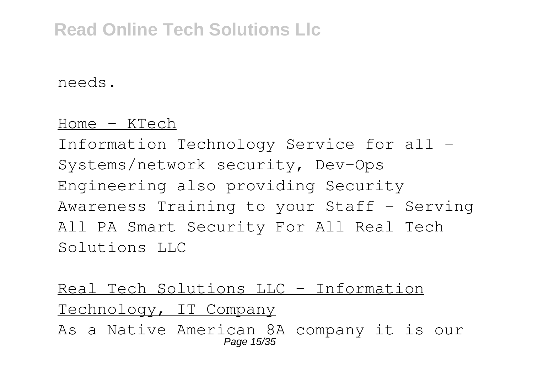needs.

#### Home - KTech

Information Technology Service for all - Systems/network security, Dev-Ops Engineering also providing Security Awareness Training to your Staff - Serving All PA Smart Security For All Real Tech Solutions LLC

Real Tech Solutions LLC - Information Technology, IT Company As a Native American 8A company it is our Page 15/35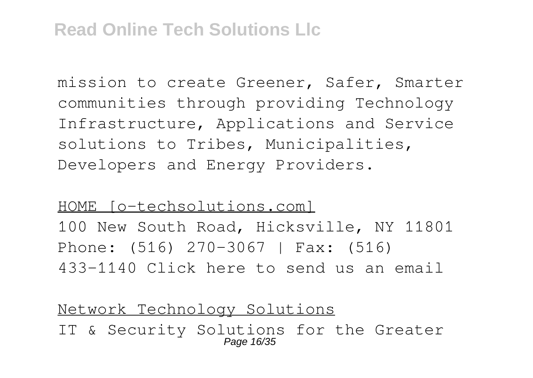mission to create Greener, Safer, Smarter communities through providing Technology Infrastructure, Applications and Service solutions to Tribes, Municipalities, Developers and Energy Providers.

HOME [o-techsolutions.com] 100 New South Road, Hicksville, NY 11801 Phone: (516) 270-3067 | Fax: (516) 433-1140 Click here to send us an email

Network Technology Solutions IT & Security Solutions for the Greater Page 16/35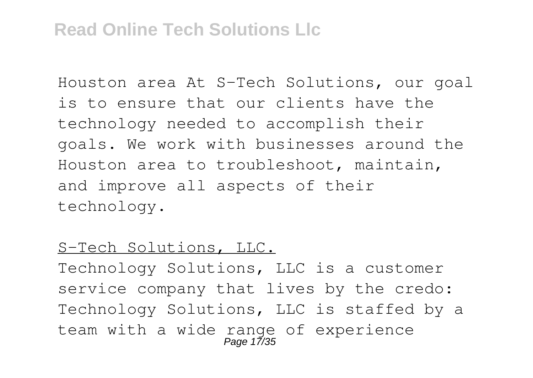Houston area At S-Tech Solutions, our goal is to ensure that our clients have the technology needed to accomplish their goals. We work with businesses around the Houston area to troubleshoot, maintain, and improve all aspects of their technology.

#### S-Tech Solutions, LLC.

Technology Solutions, LLC is a customer service company that lives by the credo: Technology Solutions, LLC is staffed by a team with a wide range of experience<br>Page 17/35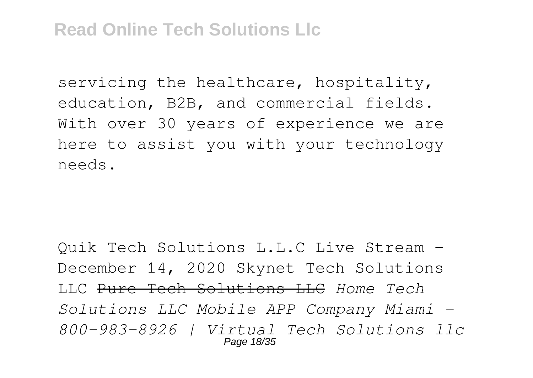servicing the healthcare, hospitality, education, B2B, and commercial fields. With over 30 years of experience we are here to assist you with your technology needs.

Quik Tech Solutions L.L.C Live Stream - December 14, 2020 Skynet Tech Solutions LLC Pure Tech Solutions LLC *Home Tech Solutions LLC Mobile APP Company Miami - 800-983-8926 | Virtual Tech Solutions llc* Page 18/35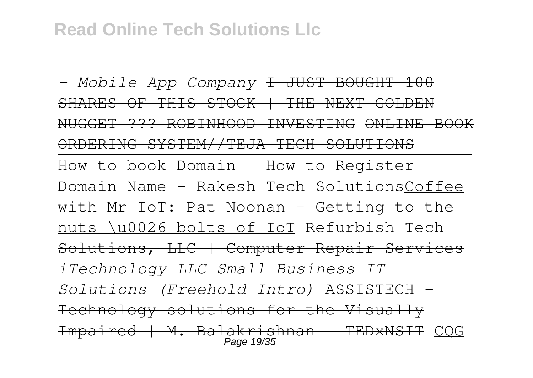*- Mobile App Company* I JUST BOUGHT 100 SHARES OF THIS STOCK | THE NEXT GOLDEN NUGGET ??? ROBINHOOD INVESTING ONLINE BOOK ORDERING SYSTEM//TEJA TECH SOLUTIONS How to book Domain | How to Register Domain Name - Rakesh Tech SolutionsCoffee with Mr IoT: Pat Noonan – Getting to the nuts \u0026 bolts of IoT Refurbish Tech Solutions, LLC | Computer Repair Services *iTechnology LLC Small Business IT Solutions (Freehold Intro)* ASSISTECH - Technology solutions for the Visually Impaired | M. Balakrishnan | TEDxNSIT CQG Page 19/35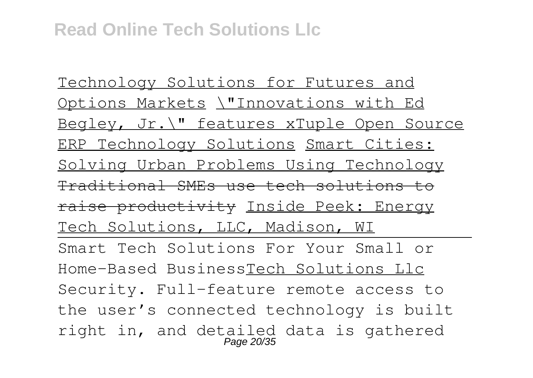Technology Solutions for Futures and Options Markets \"Innovations with Ed Begley, Jr.\" features xTuple Open Source ERP Technology Solutions Smart Cities: Solving Urban Problems Using Technology Traditional SMEs use tech solutions to raise productivity Inside Peek: Energy Tech Solutions, LLC, Madison, WI Smart Tech Solutions For Your Small or Home-Based BusinessTech Solutions Llc Security. Full-feature remote access to the user's connected technology is built right in, and detailed data is gathered Page 20/35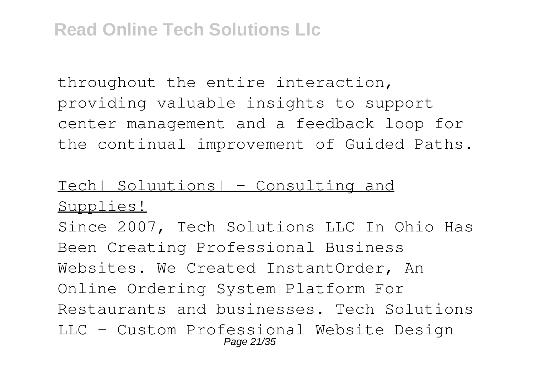throughout the entire interaction, providing valuable insights to support center management and a feedback loop for the continual improvement of Guided Paths.

#### Tech| Soluutions| – Consulting and Supplies!

Since 2007, Tech Solutions LLC In Ohio Has Been Creating Professional Business Websites. We Created InstantOrder, An Online Ordering System Platform For Restaurants and businesses. Tech Solutions LLC - Custom Professional Website Design Page 21/35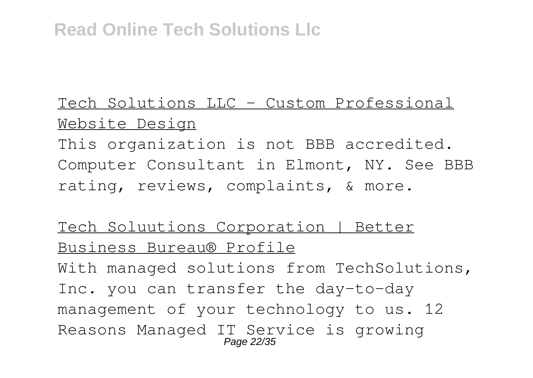# Tech Solutions LLC - Custom Professional Website Design

This organization is not BBB accredited. Computer Consultant in Elmont, NY. See BBB rating, reviews, complaints, & more.

### Tech Soluutions Corporation | Better Business Bureau® Profile

With managed solutions from TechSolutions, Inc. you can transfer the day-to-day management of your technology to us. 12 Reasons Managed IT Service is growing Page 22/35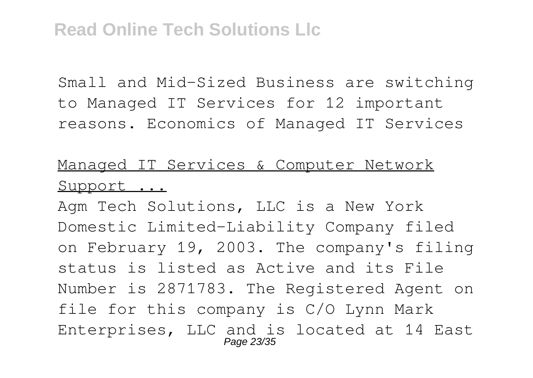Small and Mid-Sized Business are switching to Managed IT Services for 12 important reasons. Economics of Managed IT Services

# Managed IT Services & Computer Network Support ...

Agm Tech Solutions, LLC is a New York Domestic Limited-Liability Company filed on February 19, 2003. The company's filing status is listed as Active and its File Number is 2871783. The Registered Agent on file for this company is C/O Lynn Mark Enterprises, LLC and is located at 14 East Page 23/35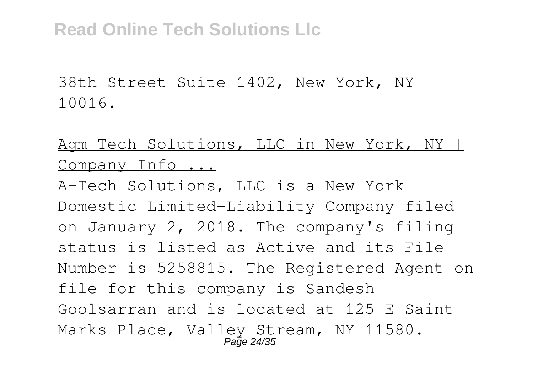38th Street Suite 1402, New York, NY 10016.

#### Agm Tech Solutions, LLC in New York, NY | Company Info ...

A-Tech Solutions, LLC is a New York Domestic Limited-Liability Company filed on January 2, 2018. The company's filing status is listed as Active and its File Number is 5258815. The Registered Agent on file for this company is Sandesh Goolsarran and is located at 125 E Saint Marks Place, Valley Stream, NY 11580. Page 24/35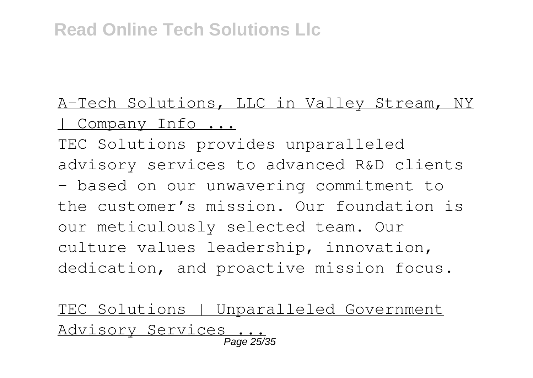# A-Tech Solutions, LLC in Valley Stream, NY Company Info ...

TEC Solutions provides unparalleled advisory services to advanced R&D clients – based on our unwavering commitment to the customer's mission. Our foundation is our meticulously selected team. Our culture values leadership, innovation, dedication, and proactive mission focus.

TEC Solutions | Unparalleled Government Advisory Services ... Page 25/35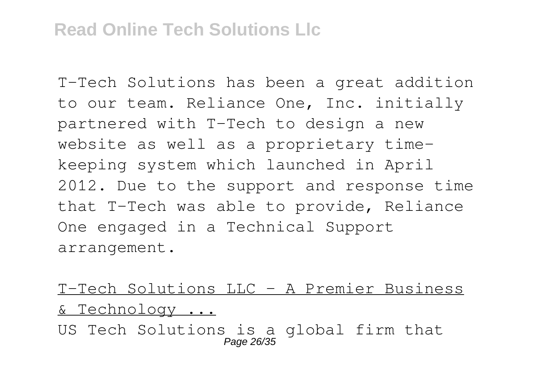T-Tech Solutions has been a great addition to our team. Reliance One, Inc. initially partnered with T-Tech to design a new website as well as a proprietary timekeeping system which launched in April 2012. Due to the support and response time that T-Tech was able to provide, Reliance One engaged in a Technical Support arrangement.

T-Tech Solutions LLC – A Premier Business & Technology ...

US Tech Solutions is a global firm that Page 26/35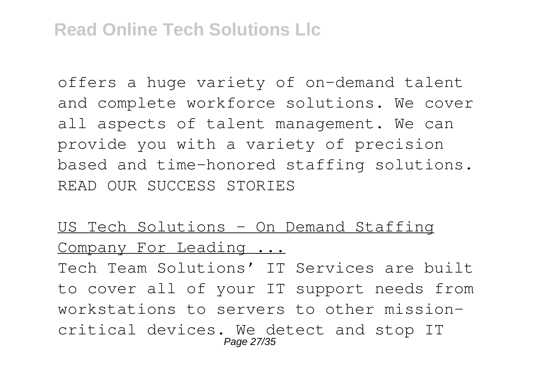offers a huge variety of on-demand talent and complete workforce solutions. We cover all aspects of talent management. We can provide you with a variety of precision based and time-honored staffing solutions. READ OUR SUCCESS STORIES

## US Tech Solutions - On Demand Staffing Company For Leading ...

Tech Team Solutions' IT Services are built to cover all of your IT support needs from workstations to servers to other missioncritical devices. We detect and stop IT Page 27/35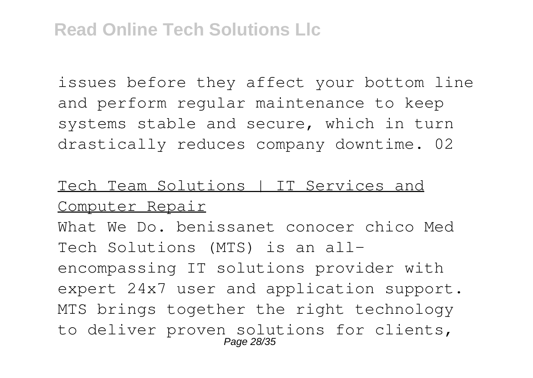issues before they affect your bottom line and perform regular maintenance to keep systems stable and secure, which in turn drastically reduces company downtime. 02

### Tech Team Solutions | IT Services and Computer Repair

What We Do. benissanet conocer chico Med Tech Solutions (MTS) is an allencompassing IT solutions provider with expert 24x7 user and application support. MTS brings together the right technology to deliver proven solutions for clients, Page 28/35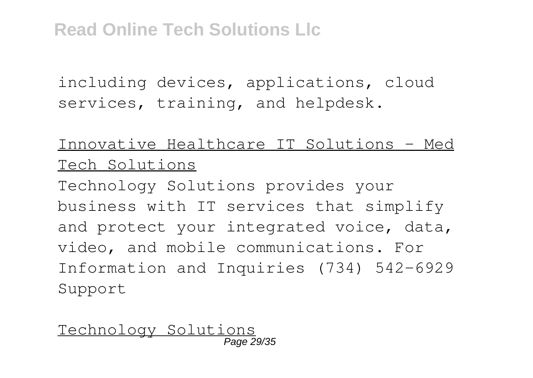including devices, applications, cloud services, training, and helpdesk.

#### Innovative Healthcare IT Solutions - Med Tech Solutions

Technology Solutions provides your business with IT services that simplify and protect your integrated voice, data, video, and mobile communications. For Information and Inquiries (734) 542-6929 Support

Technology Solutions Page 29/35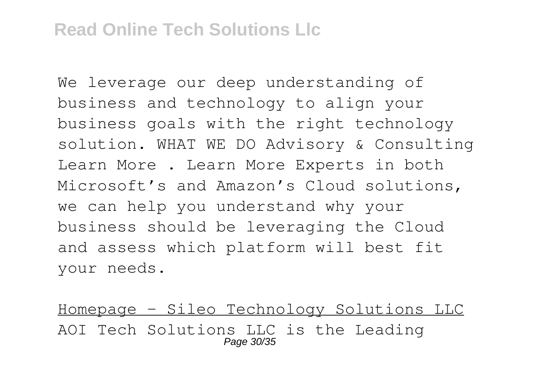We leverage our deep understanding of business and technology to align your business goals with the right technology solution. WHAT WE DO Advisory & Consulting Learn More . Learn More Experts in both Microsoft's and Amazon's Cloud solutions, we can help you understand why your business should be leveraging the Cloud and assess which platform will best fit your needs.

Homepage - Sileo Technology Solutions LLC AOI Tech Solutions LLC is the Leading Page 30/35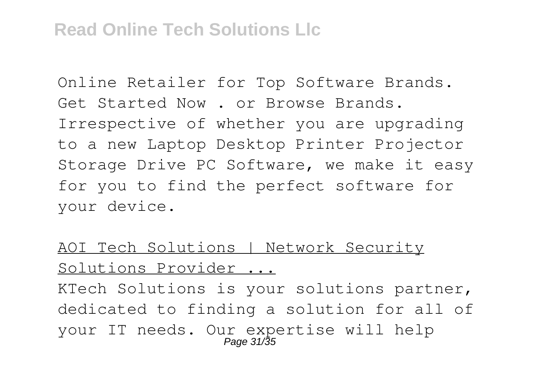Online Retailer for Top Software Brands. Get Started Now . or Browse Brands. Irrespective of whether you are upgrading to a new Laptop Desktop Printer Projector Storage Drive PC Software, we make it easy for you to find the perfect software for your device.

## AOI Tech Solutions | Network Security Solutions Provider ...

KTech Solutions is your solutions partner, dedicated to finding a solution for all of your IT needs. Our expertise will help Page 31/35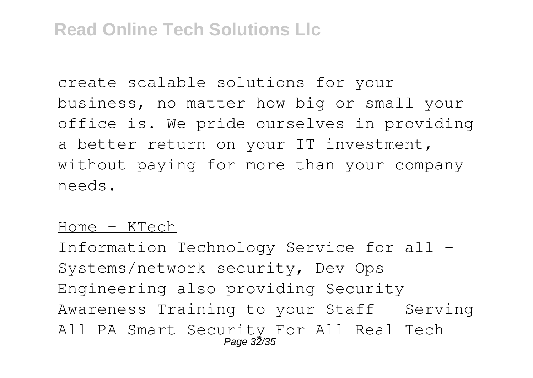create scalable solutions for your business, no matter how big or small your office is. We pride ourselves in providing a better return on your IT investment, without paying for more than your company needs.

#### Home - KTech

Information Technology Service for all - Systems/network security, Dev-Ops Engineering also providing Security Awareness Training to your Staff - Serving All PA Smart Security For All Real Tech Page 32/35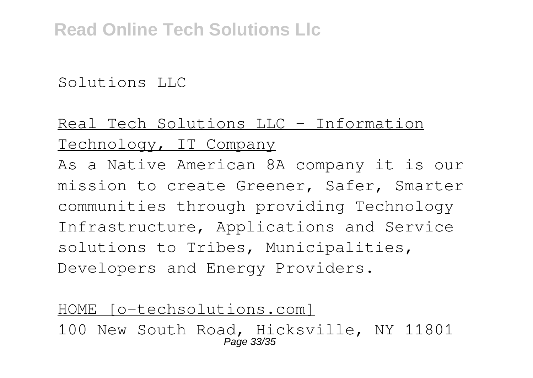Solutions LLC

# Real Tech Solutions LLC - Information Technology, IT Company

As a Native American 8A company it is our mission to create Greener, Safer, Smarter communities through providing Technology Infrastructure, Applications and Service solutions to Tribes, Municipalities, Developers and Energy Providers.

#### HOME [o-techsolutions.com] 100 New South Road, Hicksville, NY 11801 Page 33/35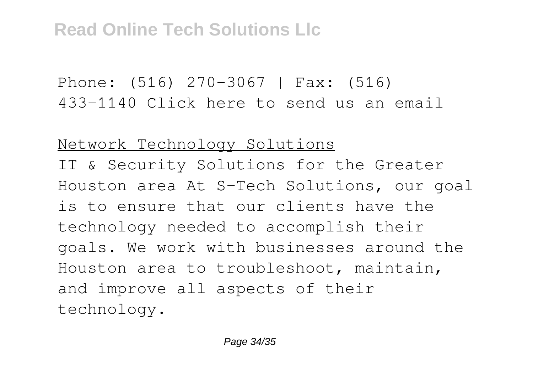Phone: (516) 270-3067 | Fax: (516) 433-1140 Click here to send us an email

Network Technology Solutions

IT & Security Solutions for the Greater Houston area At S-Tech Solutions, our goal is to ensure that our clients have the technology needed to accomplish their goals. We work with businesses around the Houston area to troubleshoot, maintain, and improve all aspects of their technology.